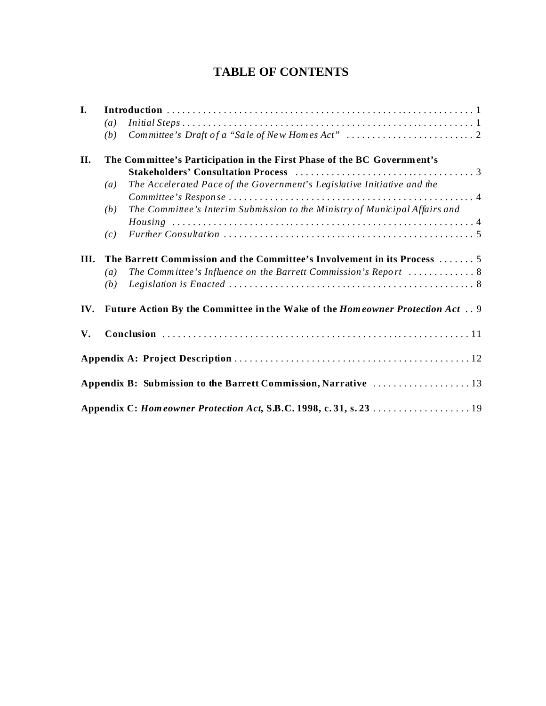### **TABLE OF CONTENTS**

| I.                       |                                                                                             |
|--------------------------|---------------------------------------------------------------------------------------------|
|                          | $\left( a\right)$                                                                           |
|                          | (b)                                                                                         |
| II.<br>III.<br>IV.<br>V. | The Committee's Participation in the First Phase of the BC Government's                     |
|                          |                                                                                             |
|                          | The Accelerated Pace of the Government's Legislative Initiative and the<br>$\left(a\right)$ |
|                          |                                                                                             |
|                          | The Committee's Interim Submission to the Ministry of Municipal Affairs and<br>(b)          |
|                          |                                                                                             |
|                          | (c)                                                                                         |
|                          |                                                                                             |
|                          | The Barrett Commission and the Committee's Involvement in its Process  5                    |
|                          | $\left(a\right)$                                                                            |
|                          | (b)                                                                                         |
|                          | Future Action By the Committee in the Wake of the <i>Homeowner Protection Act</i> 9         |
|                          |                                                                                             |
|                          |                                                                                             |
|                          |                                                                                             |
|                          |                                                                                             |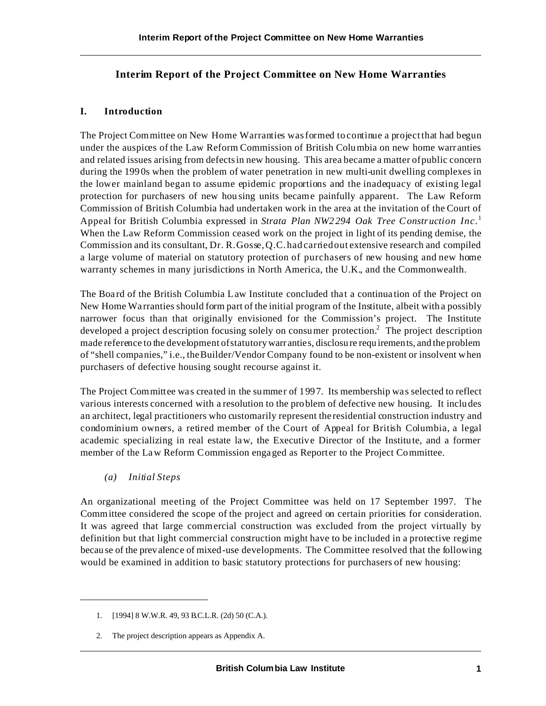#### **Interim Report of the Project Committee on New Home Warranties**

#### **I. Introduction**

The Project Committee on New Home Warranties was formed to continue a project that had begun under the auspices of the Law Reform Commission of British Columbia on new home warr anties and related issues arising from defects in new housing. This area became a matter of public concern during the 199 0s when the problem of water penetration in new multi-unit dwelling complexes in the lower mainland began to assume epidemic proportions and the inadequacy of existing legal protection for purchasers of new hou sing units became painfully apparent. The Law Reform Commission of British Columbia had undertaken work in the area at the invitation of the Court of Appeal for British Columbia expressed in *Strata Plan NW2 294 Oak Tree Construction Inc.*<sup>1</sup> When the Law Reform Commission ceased work on the project in light of its pending demise, the Commission and its consultant, Dr. R. Gosse, Q.C. had carried out extensive research and compiled a large volume of material on statutory protection of purchasers of new housing and new home warranty schemes in many jurisdictions in North America, the U.K., and the Commonwealth.

The Board of the British Columbia Law Institute concluded that a continuation of the Project on New Home Wa rranties should form part of the initial program of the Institute, albeit with a possibly narrower focus than that originally envisioned for the Commission's project. The Institute developed a project description focusing solely on consumer protection.<sup>2</sup> The project description made reference to the development of statutory warr anties, disclosu re requ irements, and the problem of "shell companies," i.e., the Builder/Vendor Company found to be non-existent or insolvent when purchasers of defective housing sought recourse against it.

The Project Committee was created in the summer of 1997. Its membership wa s selected to reflect various interests concerned with a resolution to the problem of defective new housing. It includes an architect, legal practitioners who customarily represent the residential construction industry and condominium owners, a retired member of the Court of Appeal for British Columbia, a legal academic specializing in real estate law, the Executive Director of the Institute, and a former member of the Law Reform Commission engaged as Reporter to the Project Committee.

*(a) Initial Steps*

An organizational meeting of the Project Committee was held on 17 September 1997. The Committee considered the scope of the project and agreed on certain priorities for consideration. It was agreed that large commercial construction was excluded from the project virtually by definition but that light commercial construction might have to be included in a protective regime becau se of the prevalence of mixed-use developments. The Committee resolved that the following would be examined in addition to basic statutory protections for purchasers of new housing:

<sup>1. [1994] 8</sup> W.W.R. 49, 93 B.C.L.R. (2d) 50 (C.A.).

<sup>2.</sup> The project description appears as Appendix A.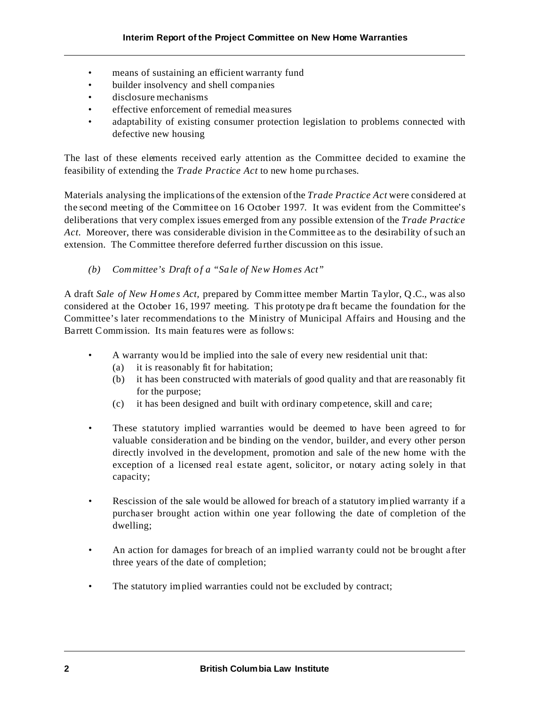- means of sustaining an efficient warranty fund
- builder insolvency and shell companies
- disclosure mechanisms
- effective enforcement of remedial mea sures
- adaptability of existing consumer protection legislation to problems connected with defective new housing

The last of these elements received early attention as the Committee decided to examine the feasibility of extending the *Trade Practice Act* to new home pu rchases.

Materials analysing the implications of the extension of the *Trade Practice Act* were considered at the second meeting of the Committee on 16 October 1997. It was evident from the Committee's deliberations that very complex issues emerged from any possible extension of the *Trade Practice Act*. Moreover, there was considerable division in the Committee as to the desirability of such an extension. The Committee therefore deferred further discussion on this issue.

*(b)* Committee's Draft of a "Sale of New Homes Act"

A draft *Sale of New Home s Act,* prepared by Committee member Martin Taylor, Q.C., was also considered at the October 16, 1997 meeting. This prototype dra ft became the foundation for the Committee's later recommendations to the Ministry of Municipal Affairs and Housing and the Barrett Commission. Its main features were as follows:

- A warranty wou ld be implied into the sale of every new residential unit that:
	- (a) it is reasonably fit for habitation;
	- (b) it has been constructed with materials of good quality and that are reasonably fit for the purpose;
	- (c) it has been designed and built with ordinary competence, skill and ca re;
- These statutory implied warranties would be deemed to have been agreed to for valuable consideration and be binding on the vendor, builder, and every other person directly involved in the development, promotion and sale of the new home with the exception of a licensed real estate agent, solicitor, or notary acting solely in that capacity;
- Rescission of the sale would be allowed for breach of a statutory implied warranty if a purcha ser brought action within one year following the date of completion of the dwelling;
- An action for damages for breach of an implied warranty could not be brought after three years of the date of completion;
- The statutory implied warranties could not be excluded by contract;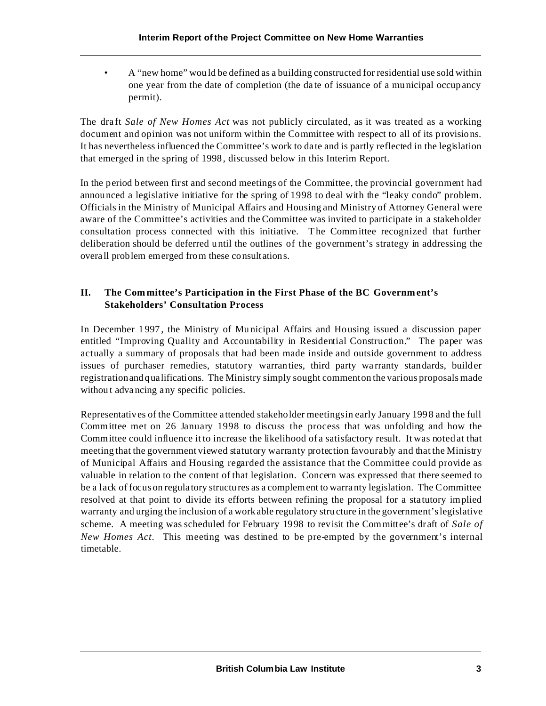• A "new home" wou ld be defined as a building constructed for residential use sold within one year from the date of completion (the da te of issuance of a municipal occupancy permit).

The dra ft *Sale of New Homes Act* was not publicly circulated, as it was treated as a working document and opinion was not uniform within the Committee with respect to all of its provisions. It has nevertheless influenced the Committee's work to da te and is partly reflected in the legislation that emerged in the spring of 1998 , discussed below in this Interim Report.

In the period between first and second meetings of the Committee, the provincial government had announced a legislative initiative for the spring of 1998 to deal with the "leaky condo" problem. Officials in the Ministry of Municipal Affairs and Housing and Ministry of Attorney General were aware of the Committee's activities and the Committee was invited to participate in a stakeholder consultation process connected with this initiative. The Committee recognized that further deliberation should be deferred until the outlines of the government's strategy in addressing the overa ll problem emerged from these consultations.

#### **II. The Com mittee's Participation in the First Phase of the BC Government's Stakeholders' Consultation Process**

In December 1 997 , the Ministry of Mu nicipal Affairs and Housing issued a discussion paper entitled "Improving Quality and Accountability in Residential Construction." The paper was actually a summary of proposals that had been made inside and outside government to address issues of purchaser remedies, statutory warranties, third party wa rranty standards, builder registration and qualifications. The Ministry simply sought comment on the various proposals made without advancing any specific policies.

Representatives of the Committee a ttended stakeholder meetings in early January 1998 and the full Committee met on 26 January 1998 to discuss the process that was unfolding and how the Committee could influence it to increase the likelihood of a satisfactory result. It was noted at that meeting that the government viewed statutory warranty protection favourably and that the Ministry of Municipal Affairs and Housing regarded the assistance that the Committee could provide as valuable in relation to the content of that legislation. Concern was expressed that there seemed to be a lack of focus on regula tory structures as a complement to warra nty legislation. The Committee resolved at that point to divide its efforts between refining the proposal for a sta tutory implied warranty and urging the inclusion of a workable regulatory structure in the government's legislative scheme. A meeting was scheduled for February 1998 to revisit the Committee's draft of *Sale of New Homes Act*. This meeting was destined to be pre-empted by the government's internal timetable.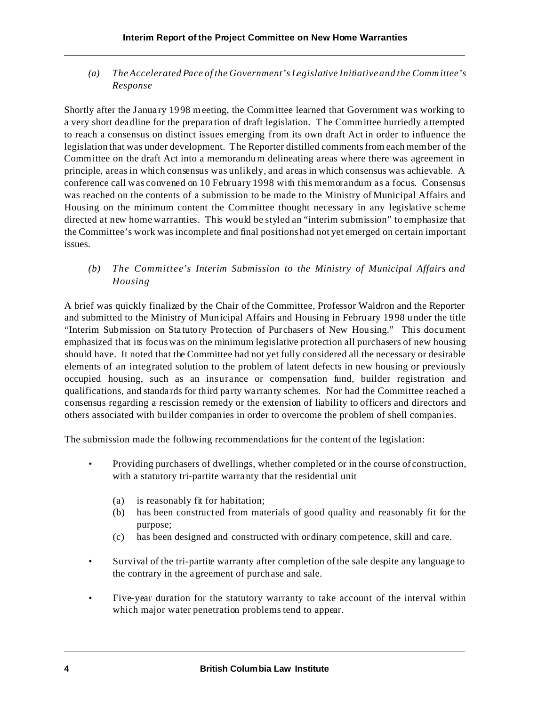*(a) The Accelerated Pace of the Government's Legislative Initiative and the Committee's Response*

Shortly after the January 1998 meeting, the Committee learned that Government was working to a very short deadline for the prepara tion of draft legislation. The Committee hurriedly a ttempted to reach a consensus on distinct issues emerging from its own draft Act in order to influence the legislation that was under development. The Reporter distilled comments from each member of the Committee on the draft Act into a memorandum delineating areas where there was agreement in principle, areas in which consensus was unlikely, and areas in which consensus wa s achievable. A conference call was convened on 10 February 1998 with this memorandum as a focus. Consensus was reached on the contents of a submission to be made to the Ministry of Municipal Affairs and Housing on the minimum content the Committee thought necessary in any legislative scheme directed at new home warranties. This would be styled an "interim submission" to emphasize that the Committee's work was incomplete and final positions had not yet emerged on certain important issues.

*(b) The Committee's Interim Submission to the Ministry of Municipal Affairs and Housing*

A brief was quickly finalized by the Chair of the Committee, Professor Waldron and the Reporter and submitted to the Ministry of Municipal Affairs and Housing in February 1998 under the title "Interim Submission on Sta tutory Protection of Purchasers of New Hou sing." This document emphasized that its focus was on the minimum legislative protection all purchasers of new housing should have. It noted that the Committee had not yet fully considered all the necessary or desirable elements of an integrated solution to the problem of latent defects in new housing or previously occupied housing, such as an insurance or compensation fund, builder registration and qualifications, and standa rds for third pa rty wa rranty schemes. Nor had the Committee reached a consensus regarding a rescission remedy or the extension of liability to officers and directors and others associated with bu ilder companies in order to overcome the problem of shell companies.

The submission made the following recommendations for the content of the legislation:

- Providing purchasers of dwellings, whether completed or in the course of construction, with a statutory tri-partite warra nty that the residential unit
	- (a) is reasonably fit for habitation;
	- (b) has been constructed from materials of good quality and reasonably fit for the purpose;
	- (c) has been designed and constructed with ordinary competence, skill and ca re.
- Survival of the tri-partite warranty after completion of the sale despite any language to the contrary in the a greement of purchase and sale.
- Five-year duration for the statutory warranty to take account of the interval within which major water penetration problems tend to appear.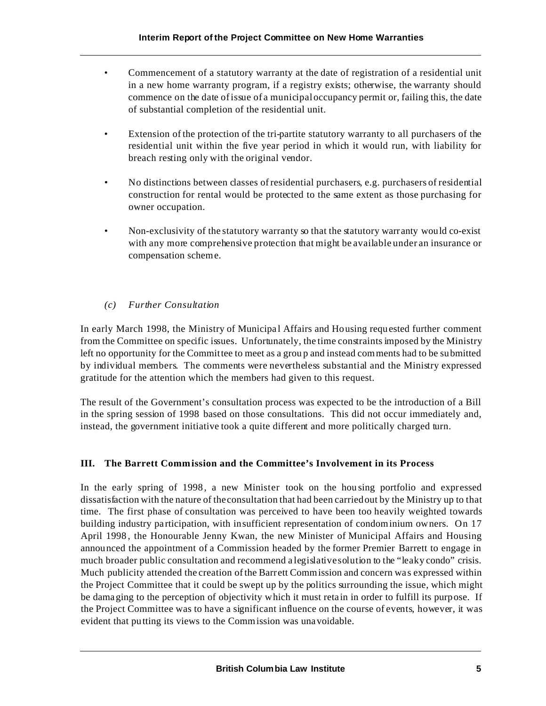- Commencement of a statutory warranty at the date of registration of a residential unit in a new home warranty program, if a registry exists; otherwise, the warranty should commence on the date of issue of a municipal occupancy permit or, failing this, the date of substantial completion of the residential unit.
- Extension of the protection of the tri-partite statutory warranty to all purchasers of the residential unit within the five year period in which it would run, with liability for breach resting only with the original vendor.
- No distinctions between classes of residential purchasers, e.g. purchasers of residential construction for rental would be protected to the same extent as those purchasing for owner occupation.
- Non-exclusivity of the statutory warranty so that the statutory warranty would co-exist with any more comprehensive protection that might be available under an insurance or compensation scheme.

#### *(c) Further Consultation*

In early March 1998, the Ministry of Municipal Affairs and Housing requested further comment from the Committee on specific issues. Unfortunately, the time constraints imposed by the Ministry left no opportunity for the Committee to meet as a grou p and instead comments had to be submitted by individual members. The comments were nevertheless substantial and the Ministry expressed gratitude for the attention which the members had given to this request.

The result of the Government's consultation process was expected to be the introduction of a Bill in the spring session of 1998 based on those consultations. This did not occur immediately and, instead, the government initiative took a quite different and more politically charged turn.

#### **III. The Barrett Commission and the Committee's Involvement in its Process**

In the early spring of 1998, a new Minister took on the hou sing portfolio and expressed dissatisfaction with the nature of the consultation that had been carried out by the Ministry up to that time. The first phase of consultation was perceived to have been too heavily weighted towards building industry pa rticipation, with insufficient representation of condominium owners. On 17 April 1998 , the Honourable Jenny Kwan, the new Minister of Municipal Affairs and Housing announced the appointment of a Commission headed by the former Premier Barrett to engage in much broader public consultation and recommend a legislative solution to the "leaky condo" crisis. Much publicity attended the creation of the Barrett Commission and concern wa s expressed within the Project Committee that it could be swept up by the politics surrounding the issue, which might be damaging to the perception of objectivity which it must reta in in order to fulfill its purpose. If the Project Committee was to have a significant influence on the course of events, however, it was evident that putting its views to the Commission was unavoidable.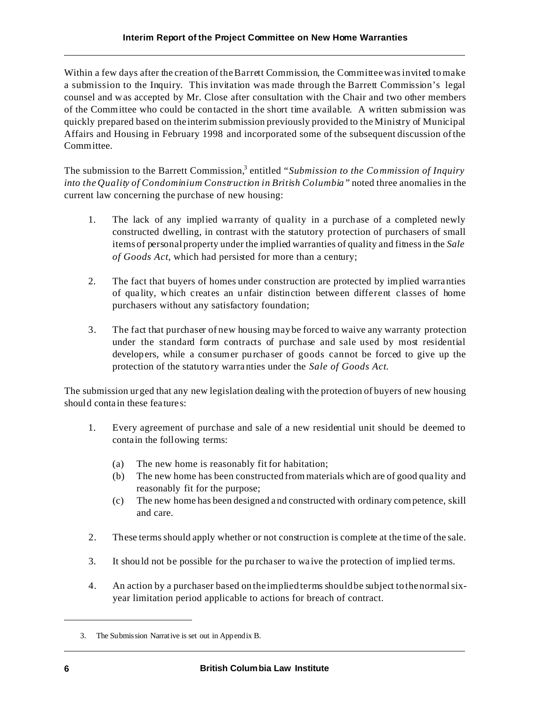Within a few days after the creation of the Barrett Commission, the Committee was invited to make a submission to the Inquiry. This invitation was made through the Barrett Commission's legal counsel and was accepted by Mr. Close after consultation with the Chair and two other members of the Committee who could be contacted in the short time available. A written submission was quickly prepared based on the interim submission previously provided to the Ministry of Municipal Affairs and Housing in February 1998 and incorporated some of the subsequent discussion of the Committee.

The submission to the Barrett Commission,<sup>3</sup> entitled "Submission to the Commission of Inquiry *into the Quality of Condominium Construction in British Columbia"* noted three anomalies in the current law concerning the purchase of new housing:

- 1. The lack of any implied wa rranty of quality in a purchase of a completed newly constructed dwelling, in contrast with the statutory protection of purchasers of small items of personal property under the implied warranties of quality and fitness in the *Sale of Goods Act*, which had persisted for more than a century;
- 2. The fact that buyers of homes under construction are protected by implied warranties of qua lity, which creates an u nfair distinction between different classes of home purchasers without any satisfactory foundation;
- 3. The fact that purchaser of new housing may be forced to waive any warranty protection under the standard form contracts of purchase and sale used by most residential developers, while a consumer purcha ser of goods cannot be forced to give up the protection of the statutory warra nties under the *Sale of Goods Act*.

The submission urged that any new legislation dealing with the protection of buyers of new housing should conta in these fea tures:

- 1. Every agreement of purchase and sale of a new residential unit should be deemed to contain the following terms:
	- (a) The new home is reasonably fit for habitation;
	- (b) The new home has been constructed from materials which are of good qua lity and reasonably fit for the purpose;
	- (c) The new home has been designed a nd constructed with ordinary competence, skill and care.
- 2. These terms should apply whether or not construction is complete at the time of the sale.
- 3. It should not be possible for the pu rchaser to wa ive the protection of implied terms.
- 4. An action by a purchaser based on the implied terms should be subject to the normal sixyear limitation period applicable to actions for breach of contract.

<sup>3.</sup> The Submission Narrative is set out in Appendix B.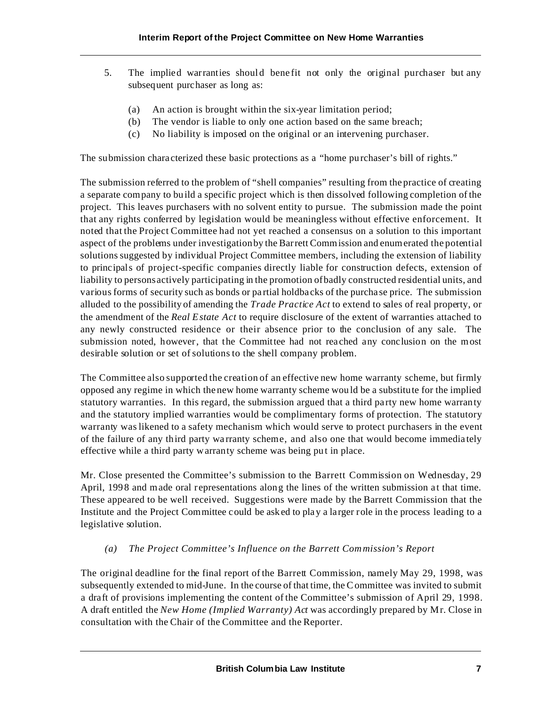- 5. The implied warranties should benefit not only the original purchaser but any subsequent purchaser as long as:
	- (a) An action is brought within the six-year limitation period;
	- (b) The vendor is liable to only one action based on the same breach;
	- (c) No liability is imposed on the original or an intervening purchaser.

The submission chara cterized these basic protections as a "home pu rchaser's bill of rights."

The submission referred to the problem of "shell companies" resulting from the practice of creating a separate company to build a specific project which is then dissolved following completion of the project. This leaves purchasers with no solvent entity to pursue. The submission made the point that any rights conferred by legislation would be meaningless without effective enforcement. It noted that the Project Committee had not yet reached a consensus on a solution to this important aspect of the problems under investigation by the Barrett Commission and enumerated the potential solutions suggested by individual Project Committee members, including the extension of liability to principals of project-specific companies directly liable for construction defects, extension of liability to persons actively participating in the promotion of badly constructed residential units, and various forms of security such as bonds or pa rtial holdba cks of the purcha se price. The submission alluded to the possibility of amending the *Trade Practice Act* to extend to sales of real property, or the amendment of the *Real Estate Act* to require disclosure of the extent of warranties attached to any newly constructed residence or their absence prior to the conclusion of any sale. The submission noted, however, that the Committee had not rea ched any conclusion on the most desirable solution or set of solutions to the shell company problem.

The Committee also supported the creation of an effective new home warranty scheme, but firmly opposed any regime in which the new home warranty scheme wou ld be a substitute for the implied statutory warranties. In this regard, the submission argued that a third party new home warranty and the statutory implied warranties would be complimentary forms of protection. The statutory warranty was likened to a safety mechanism which would serve to protect purchasers in the event of the failure of any third party wa rranty scheme, and also one that would become immedia tely effective while a third party warranty scheme was being put in place.

Mr. Close presented the Committee's submission to the Barrett Commission on Wednesday, 29 April, 1998 and made oral representations along the lines of the written submission at that time. These appeared to be well received. Suggestions were made by the Barrett Commission that the Institute and the Project Committee could be asked to pla y a la rger role in the process leading to a legislative solution.

#### *(a) The Project Committee's Influence on the Barrett Commission's Report*

The original deadline for the final report of the Barrett Commission, namely May 29, 1998, was subsequently extended to mid-June. In the course of that time, the Committee was invited to submit a draft of provisions implementing the content of the Committee's submission of April 29, 1998. A draft entitled the *New Home (Implied Warranty) Act* was accordingly prepared by Mr. Close in consultation with the Chair of the Committee and the Reporter.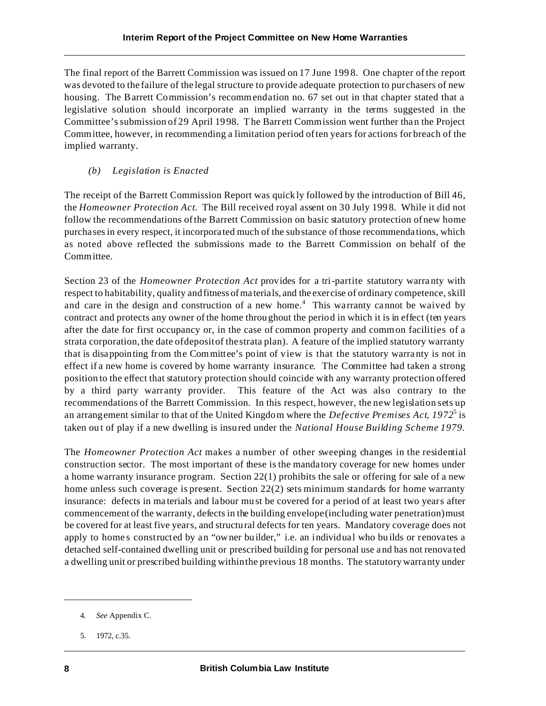The final report of the Barrett Commission was issued on 17 June 199 8. One chapter of the report was devoted to the failure of the legal structure to provide adequate protection to pur chasers of new housing. The Barrett Commission's recommendation no. 67 set out in that chapter stated that a legislative solution should incorporate an implied warranty in the terms suggested in the Committee's submission of 29 April 19 98. The Barrett Commission went further than the Project Committee, however, in recommending a limitation period of ten years for actions for breach of the implied warranty.

#### *(b) Legislation is Enacted*

The receipt of the Barrett Commission Report was quick ly followed by the introduction of Bill 46, the *Homeowner Protection Act*. The Bill received royal assent on 30 July 199 8. While it did not follow the recommendations of the Barrett Commission on basic statutory protection of new home purcha ses in every respect, it incorpora ted much of the substance of those recommenda tions, which as noted above reflected the submissions made to the Barrett Commission on behalf of the Committee.

Section 23 of the *Homeowner Protection Act* provides for a tri-partite statutory warra nty with respect to habitability, quality and fitness of ma terials, and the exercise of ordinary competence, skill and care in the design and construction of a new home.<sup>4</sup> This warranty cannot be waived by contract and protects any owner of the home throughout the period in which it is in effect (ten years after the date for first occupancy or, in the case of common property and common facilities of a strata corporation, the date of deposit of the strata plan). A feature of the implied statutory warranty that is disappointing from the Committee's point of view is that the statutory warranty is not in effect if a new home is covered by home warranty insurance. The Committee had taken a strong position to the effect that statutory protection should coincide with any warranty protection offered by a third party warr anty provider. This feature of the Act was also contrary to the recommendations of the Barrett Commission. In this respect, however, the new legislation sets up an arrangement similar to that of the United Kingdom where the *Defective Premises Act, 1972*<sup>5</sup> is taken ou t of play if a new dwelling is insured under the *National House Building Scheme 1979.*

The *Homeowner Protection Act* makes a number of other sweeping changes in the residential construction sector. The most important of these is the manda tory coverage for new homes under a home warranty insurance program. Section 22(1) prohibits the sale or offering for sale of a new home unless such coverage is present. Section 22(2) sets minimum standards for home warranty insurance: defects in ma terials and labour mu st be covered for a period of at least two years after commencement of the warranty, defects in the building envelope (including water penetration) must be covered for at least five years, and structural defects for ten years. Mandatory coverage does not apply to homes constructed by an "owner builder," i.e. an individual who builds or renovates a detached self-contained dwelling unit or prescribed building for personal use and has not renova ted a dwelling unit or prescribed building within the previous 18 months. The statutory warranty under

5. 1972, c.35.

<sup>4.</sup> *See* Appendix C.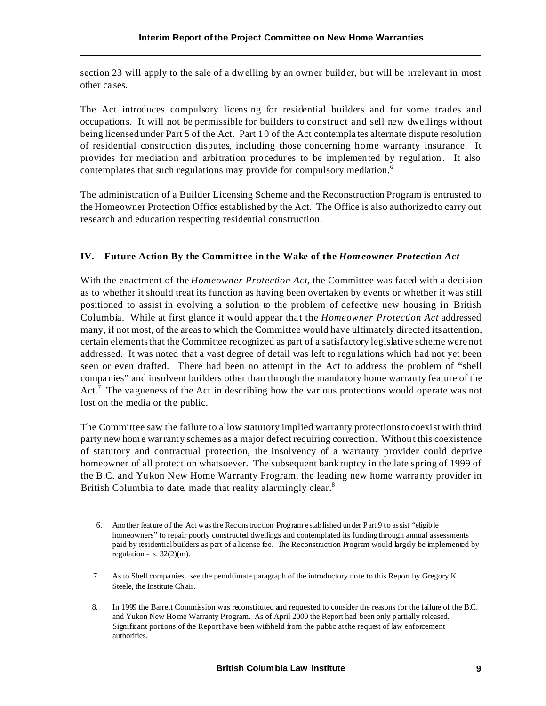section 23 will apply to the sale of a dwelling by an owner builder, but will be irrelevant in most other ca ses.

The Act introduces compulsory licensing for residential builders and for some trades and occupations. It will not be permissible for builders to construct and sell new dwellings without being licensed under Part 5 of the Act. Part 10 of the Act contemplates alternate dispute resolution of residential construction disputes, including those concerning home warranty insurance. It provides for mediation and arbitration procedur es to be implemented by regulation. It also contemplates that such regulations may provide for compulsory mediation.<sup>6</sup>

The administration of a Builder Licensing Scheme and the Reconstruction Program is entrusted to the Homeowner Protection Office established by the Act. The Office is also authorized to carry out research and education respecting residential construction.

#### **IV. Future Action By the Committee in the Wake of the** *Homeowner Protection Act*

With the enactment of the *Homeowner Protection Act*, the Committee was faced with a decision as to whether it should treat its function as having been overtaken by events or whether it was still positioned to assist in evolving a solution to the problem of defective new housing in British Columbia. While at first glance it would appear tha t the *Homeowner Protection Act* addressed many, if not most, of the areas to which the Committee would have ultimately directed its attention, certain elements that the Committee recognized as part of a satisfactory legislative scheme were not addressed. It was noted that a vast degree of detail was left to regulations which had not yet been seen or even drafted. There had been no attempt in the Act to address the problem of "shell compa nies" and insolvent builders other than through the manda tory home warranty feature of the Act.<sup>7</sup> The vagueness of the Act in describing how the various protections would operate was not lost on the media or the public.

The Committee saw the failure to allow statutory implied warranty protections to coexist with third party new home warranty schemes as a major defect requiring correction. Withou t this coexistence of statutory and contractual protection, the insolvency of a warranty provider could deprive homeowner of all protection whatsoever. The subsequent bankruptcy in the late spring of 1999 of the B.C. and Yukon New Home Wa rranty Program, the leading new home warranty provider in British Columbia to date, made that reality alarmingly clear.<sup>8</sup>

<sup>6.</sup> Another feature of the Act was th e Reconstruction Program estab lished under Part 9 to assist "eligible homeowners" to repair poorly constructed dwellings and contemplated its funding through annual assessments paid by residential builders as part of a license fee. The Reconstruction Program would largely be implemented by regulation - s.  $32(2)(m)$ .

7. As to Shell companies, *see* the penultimate paragraph of the introductory note to this Report by Gregory K. Steele, the Institute Chair.

<sup>8.</sup> In 1999 the Barrett Commission was reconstituted and requested to consider the reasons for the failure of the B.C. and Yukon New Home Warranty Program. As of April 2000 the Report had been only partially released. Significant portions of the Report have been withheld from the public at the request of law enforcement authorities.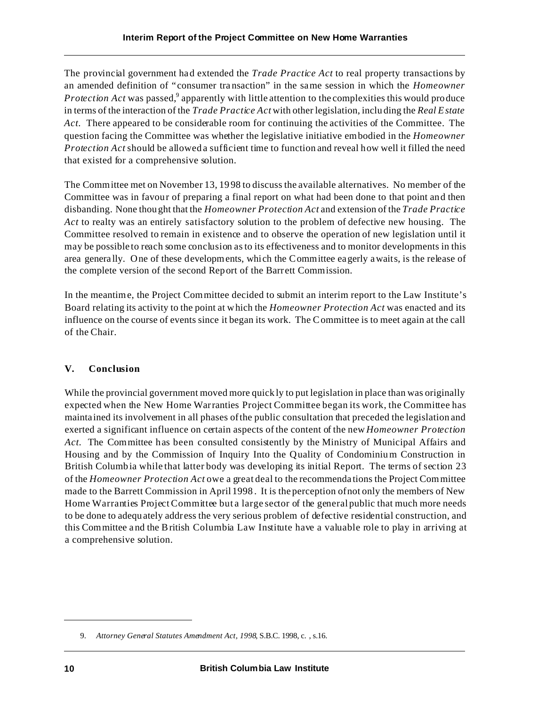The provincial government had extended the *Trade Practice Act* to real property transactions by an amended definition of "consumer tra nsaction" in the same session in which the *Homeowner* Protection Act was passed,<sup>9</sup> apparently with little attention to the complexities this would produce in terms of the interaction of the *Trade Practice Act* with other legislation, inclu ding the *Real Estate Act*. There appeared to be considerable room for continuing the activities of the Committee. The question facing the Committee was whether the legislative initiative embodied in the *Homeowner Protection Act* should be allowed a sufficient time to function and reveal how well it filled the need that existed for a comprehensive solution.

The Committee met on November 13, 19 98 to discuss the available alternatives. No member of the Committee was in favour of preparing a final report on what had been done to that point and then disbanding. None thou ght that the *Homeowner Protection Act* and extension of the *Trade Practice Act* to realty was an entirely satisfactory solution to the problem of defective new housing. The Committee resolved to remain in existence and to observe the operation of new legislation until it may be possible to reach some conclusion as to its effectiveness and to monitor developments in this area genera lly. One of these developments, which the Committee eagerly awaits, is the release of the complete version of the second Report of the Barrett Commission.

In the meantime, the Project Committee decided to submit an interim report to the Law Institute's Board relating its activity to the point at which the *Homeowner Protection Act* was enacted and its influence on the course of events since it began its work. The Committee is to meet again at the call of the Chair.

#### **V. Conclusion**

While the provincial government moved more quick ly to put legislation in place than was originally expected when the New Home Warranties Project Committee began its work, the Committee has mainta ined its involvement in all phases of the public consultation that preceded the legislation and exerted a significant influence on certain aspects of the content of the new *Homeowner Protection Act*. The Committee has been consulted consistently by the Ministry of Municipal Affairs and Housing and by the Commission of Inquiry Into the Quality of Condominium Construction in British Columbia while that latter body was developing its initial Report. The terms of section 23 of the *Homeowner Protection Act* owe a great deal to the recommenda tions the Project Committee made to the Barrett Commission in April 1998 . It is the perception of not only the members of New Home Warranties Project Committee but a large sector of the general public that much more needs to be done to adequ ately address the very serious problem of defective residential construction, and this Committee a nd the British Columbia Law Institute have a valuable role to play in arriving at a comprehensive solution.

<sup>9.</sup> *Attorney General Statutes Amendment Act, 1998*, S.B.C. 1998, c. , s.16.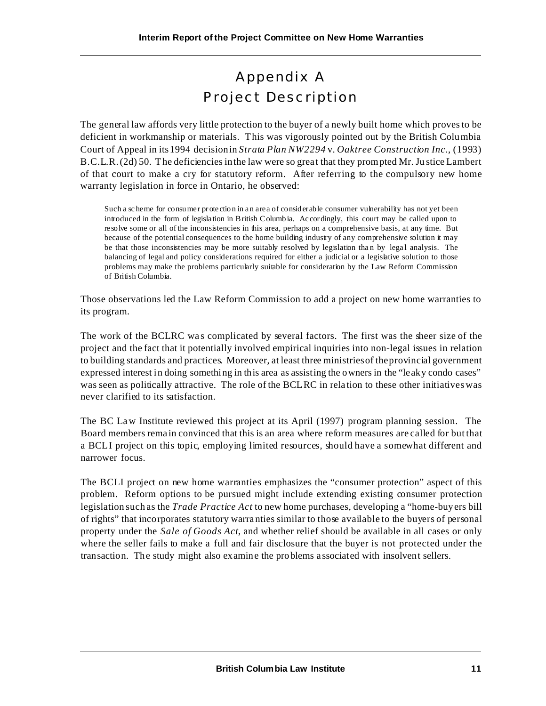## Appendix A Project Description

The general law affords very little protection to the buyer of a newly built home which proves to be deficient in workmanship or materials. This was vigorously pointed out by the British Columbia Court of Appeal in its 1994 decision in *Strata Plan NW2294* v. *Oaktree Construction Inc.*, (1993) B.C.L.R. (2d) 50. The deficiencies in the law were so grea t that they prompted Mr. Ju stice Lambert of that court to make a cry for statutory reform. After referring to the compulsory new home warranty legislation in force in Ontario, he observed:

Such a sc heme for consumer protection in a n area of considerable consumer vulnerability has not yet been introduced in the form of legislation in British Columbia. Ac cordingly, this court may be called upon to re solve some or all of the inconsistencies in this area, perhaps on a comprehensive basis, at any time. But because of the potential consequences to the home building industry of any comprehensive solution it may be that those inconsistencies may be more suitably resolved by legislation than by legal analysis. The balancing of legal and policy considerations required for either a judicial or a legislative solution to those problems may make the problems particularly suitable for consideration by the Law Reform Commission of British Columbia.

Those observations led the Law Reform Commission to add a project on new home warranties to its program.

The work of the BCLRC was complicated by several factors. The first was the sheer size of the project and the fact that it potentially involved empirical inquiries into non-legal issues in relation to building standards and practices. Moreover, at least three ministries of the provincial government expressed interest in doing something in this area as assisting the owners in the "leaky condo cases" was seen as politically attractive. The role of the BCLRC in rela tion to these other initiatives was never clarified to its satisfaction.

The BC Law Institute reviewed this project at its April (1997) program planning session. The Board members rema in convinced that this is an area where reform measures are called for but that a BCLI project on this topic, employing limited resources, should have a somewhat different and narrower focus.

The BCLI project on new home warranties emphasizes the "consumer protection" aspect of this problem. Reform options to be pursued might include extending existing consumer protection legislation such as the *Trade Practice Act* to new home purchases, developing a "home-buyers bill of rights" that incorporates statutory warra nties similar to those available to the buyers of personal property under the *Sale of Goods Act*, and whether relief should be available in all cases or only where the seller fails to make a full and fair disclosure that the buyer is not protected under the transaction. The study might also examine the problems a ssociated with insolvent sellers.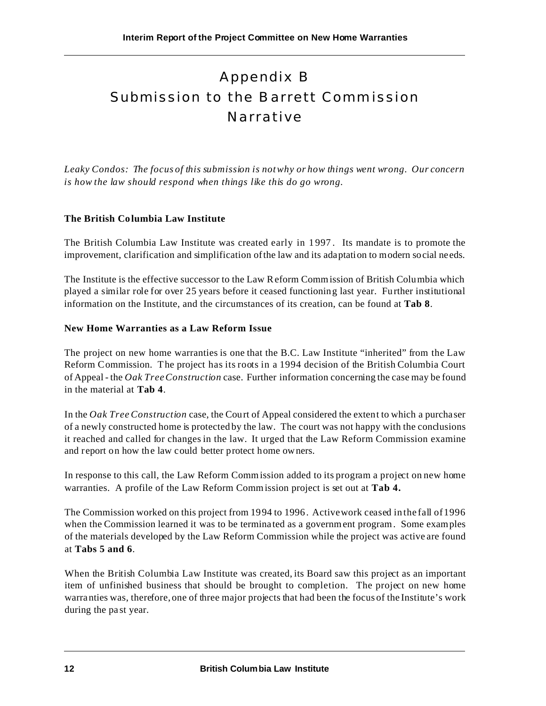# Appendix B Submission to the Barrett Commission Narrative

*Leaky Condos: The focus of this submission is not why or how things went wrong. Our concern is how the law should respond when things like this do go wrong.*

#### **The British Co lumbia Law Institute**

The British Columbia Law Institute was created early in 1 997 . Its mandate is to promote the improvement, clarification and simplification of the law and its adaptation to modern social needs.

The Institute is the effective successor to the Law Reform Commission of British Columbia which played a similar role for over 25 years before it ceased functioning last year. Fu rther institutional information on the Institute, and the circumstances of its creation, can be found at **Tab 8**.

#### **New Home Warranties as a Law Reform Issue**

The project on new home warranties is one that the B.C. Law Institute "inherited" from the Law Reform Commission. The project has its roots in a 1994 decision of the British Columbia Court of Appeal - the *Oak Tree Construction* case. Further information concerning the case may be found in the material at **Tab 4**.

In the *Oak Tree Construction* case, the Court of Appeal considered the extent to which a purchaser of a newly constructed home is protected by the law. The court was not happy with the conclusions it reached and called for changes in the law. It urged that the Law Reform Commission examine and report on how the law could better protect home owners.

In response to this call, the Law Reform Commission added to its program a project on new home warranties. A profile of the Law Reform Commission project is set out at **Tab 4.**

The Commission worked on this project from 1994 to 1996 . Active work ceased in the fall of 1996 when the Commission learned it was to be termina ted as a government program. Some examples of the materials developed by the Law Reform Commission while the project was active are found at **Tabs 5 and 6**.

When the British Columbia Law Institute was created, its Board saw this project as an important item of unfinished business that should be brought to completion. The project on new home warranties was, therefore, one of three major projects that had been the focus of the Institute's work during the pa st year.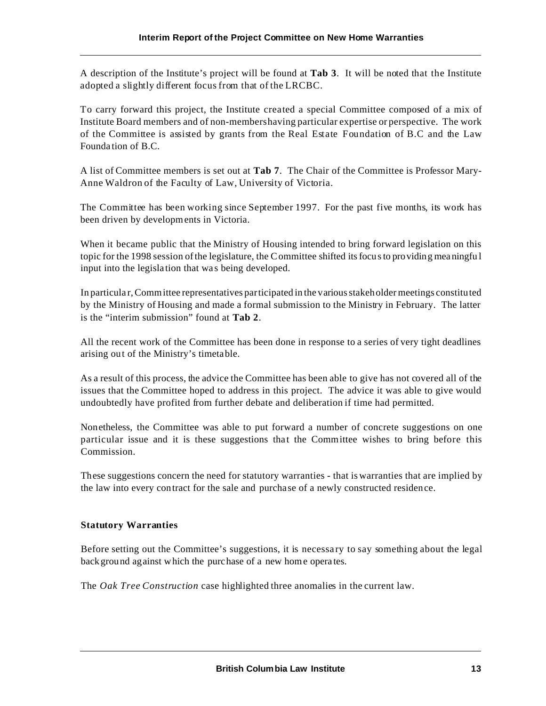A description of the Institute's project will be found at **Tab 3**. It will be noted that the Institute adopted a slightly different focus from that of the LRCBC.

To carry forward this project, the Institute created a special Committee composed of a mix of Institute Board members and of non-members having particular expertise or perspective. The work of the Committee is assisted by grants from the Real Estate Foundation of B.C and the Law Founda tion of B.C.

A list of Committee members is set out at **Tab 7**. The Chair of the Committee is Professor Mary-Anne Waldron of the Faculty of Law, University of Victoria.

The Committee has been working since September 1997. For the past five months, its work has been driven by developments in Victoria.

When it became public that the Ministry of Housing intended to bring forward legislation on this topic for the 1998 session of the legislature, the Committee shifted its focus to providing meaningfu l input into the legislation that was being developed.

In particular, Committee representatives participated in the various stakeholder meetings constituted by the Ministry of Housing and made a formal submission to the Ministry in February. The latter is the "interim submission" found at **Tab 2**.

All the recent work of the Committee has been done in response to a series of very tight deadlines arising out of the Ministry's timetable.

As a result of this process, the advice the Committee has been able to give has not covered all of the issues that the Committee hoped to address in this project. The advice it was able to give would undoubtedly have profited from further debate and deliberation if time had permitted.

Nonetheless, the Committee was able to put forward a number of concrete suggestions on one particular issue and it is these suggestions that the Committee wishes to bring before this Commission.

These suggestions concern the need for statutory warranties - that is warranties that are implied by the law into every contract for the sale and purchase of a newly constructed residence.

#### **Statutory Warranties**

Before setting out the Committee's suggestions, it is necessary to say something about the legal back ground against which the purchase of a new home opera tes.

The *Oak Tree Construction* case highlighted three anomalies in the current law.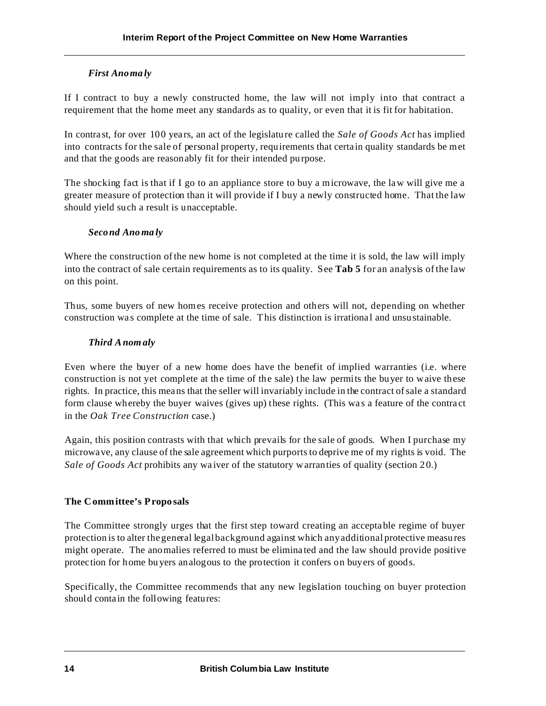#### *First Anoma ly*

If I contract to buy a newly constructed home, the law will not imply into that contract a requirement that the home meet any standards as to quality, or even that it is fit for habitation.

In contra st, for over 100 yea rs, an act of the legislatu re called the *Sale of Goods Act* has implied into contracts for the sale of personal property, requirements that certa in quality standards be met and that the goods are reasonably fit for their intended purpose.

The shocking fact is that if I go to an appliance store to buy a microwave, the law will give me a greater measure of protection than it will provide if I buy a newly constructed home. That the law should yield such a result is unacceptable.

#### *Second Anoma ly*

Where the construction of the new home is not completed at the time it is sold, the law will imply into the contract of sale certain requirements as to its quality. See **Tab 5** for an analysis of the law on this point.

Thus, some buyers of new homes receive protection and others will not, depending on whether construction was complete at the time of sale. This distinction is irrational and unsu stainable.

#### *Third Anomaly*

Even where the buyer of a new home does have the benefit of implied warranties (i.e. where construction is not yet complete at the time of the sale) the law permits the buyer to waive these rights. In practice, this means that the seller will invariably include in the contract of sale a standard form clause whereby the buyer waives (gives up) these rights. (This wa s a feature of the contra ct in the *Oak Tree Construction* case.)

Again, this position contrasts with that which prevails for the sale of goods. When I purchase my microwave, any clause of the sale agreement which purports to deprive me of my rights is void. The *Sale of Goods Act* prohibits any waiver of the statutory warranties of quality (section 20.)

#### **The Committee's Propo sals**

The Committee strongly urges that the first step toward creating an acceptable regime of buyer protection is to alter the general legal background against which any additional protective measu res might operate. The anomalies referred to must be elimina ted and the law should provide positive protection for home bu yers analogous to the protection it confers on buyers of goods.

Specifically, the Committee recommends that any new legislation touching on buyer protection should conta in the following features: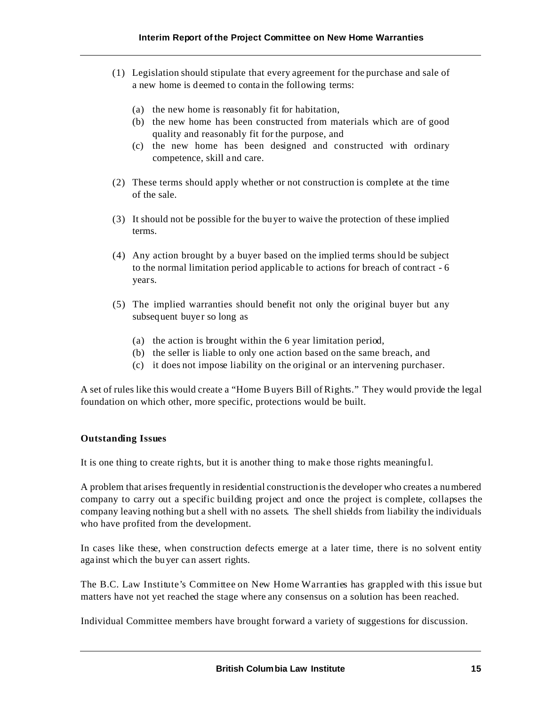- (1) Legislation should stipulate that every agreement for the purchase and sale of a new home is deemed to conta in the following terms:
	- (a) the new home is reasonably fit for habitation,
	- (b) the new home has been constructed from materials which are of good quality and reasonably fit for the purpose, and
	- (c) the new home has been designed and constructed with ordinary competence, skill and care.
- (2) These terms should apply whether or not construction is complete at the time of the sale.
- (3) It should not be possible for the buyer to waive the protection of these implied terms.
- (4) Any action brought by a buyer based on the implied terms should be subject to the normal limitation period applicable to actions for breach of contract - 6 years.
- (5) The implied warranties should benefit not only the original buyer but any subsequent buyer so long as
	- (a) the action is brought within the 6 year limitation period,
	- (b) the seller is liable to only one action based on the same breach, and
	- (c) it does not impose liability on the original or an intervening purchaser.

A set of rules like this would create a "Home Buyers Bill of Rights." They would provide the legal foundation on which other, more specific, protections would be built.

#### **Outstanding Issues**

It is one thing to create rights, but it is another thing to make those rights meaningful.

A problem that arises frequently in residential construction is the developer who creates a numbered company to carry out a specific building project and once the project is complete, collapses the company leaving nothing but a shell with no assets. The shell shields from liability the individuals who have profited from the development.

In cases like these, when construction defects emerge at a later time, there is no solvent entity against which the bu yer can assert rights.

The B.C. Law Institute's Committee on New Home Warranties has grappled with this issue but matters have not yet reached the stage where any consensus on a solution has been reached.

Individual Committee members have brought forward a variety of suggestions for discussion.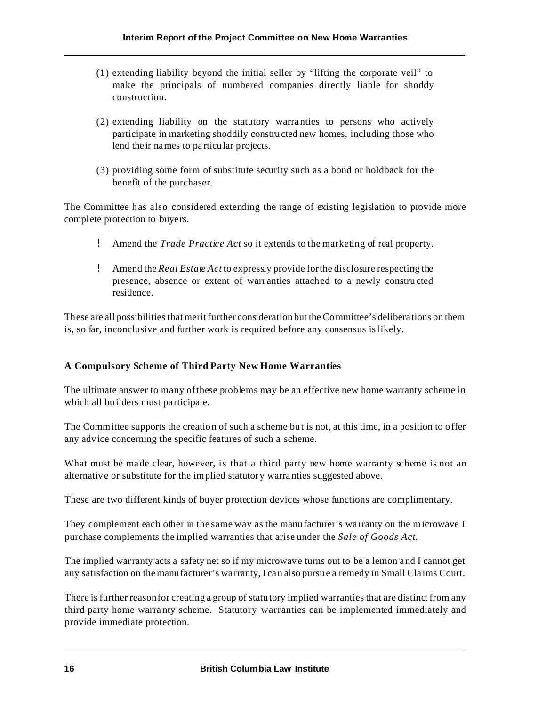- (1) extending liability beyond the initial seller by "lifting the corporate veil" to make the principals of numbered companies directly liable for shoddy construction.
- (2) extending liability on the statutory warranties to persons who actively participate in marketing shoddily constru cted new homes, including those who lend their names to pa rticular projects.
- (3) providing some form of substitute security such as a bond or holdback for the benefit of the purchaser.

The Committee has also considered extending the range of existing legislation to provide more complete protection to buyers.

- ! Amend the *Trade Practice Act* so it extends to the marketing of real property.
- ! Amend the *Real Estate Act* to expressly provide for the disclosure respecting the presence, absence or extent of warr anties attached to a newly constru cted residence.

These are all possibilities that merit further consideration but the Committee's delibera tions on them is, so far, inconclusive and further work is required before any consensus is likely.

#### **A Compulsory Scheme of Third Party New Home Warranties**

The ultimate answer to many of these problems may be an effective new home warranty scheme in which all builders must participate.

The Committee supports the creation of such a scheme but is not, at this time, in a position to offer any advice concerning the specific features of such a scheme.

What must be made clear, however, is that a third party new home warranty scheme is not an alternative or substitute for the implied statutory warranties suggested above.

These are two different kinds of buyer protection devices whose functions are complimentary.

They complement each other in the same way as the manufacturer's wa rranty on the microwave I purchase complements the implied warranties that arise under the *Sale of Goods Act*.

The implied warranty acts a safety net so if my microwave turns out to be a lemon and I cannot get any satisfaction on the manufacturer's wa rranty, I can also pursu e a remedy in Small Cla ims Court.

There is further reason for creating a group of statu tory implied warranties that are distinct from any third party home warra nty scheme. Statutory warranties can be implemented immediately and provide immediate protection.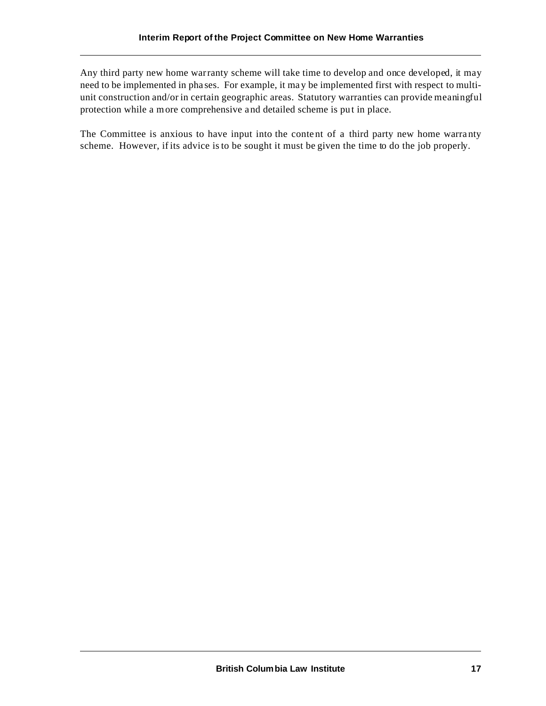Any third party new home warranty scheme will take time to develop and once developed, it may need to be implemented in pha ses. For example, it ma y be implemented first with respect to multiunit construction and/or in certain geographic areas. Statutory warranties can provide meaningful protection while a more comprehensive and detailed scheme is put in place.

The Committee is anxious to have input into the content of a third party new home warra nty scheme. However, if its advice is to be sought it must be given the time to do the job properly.